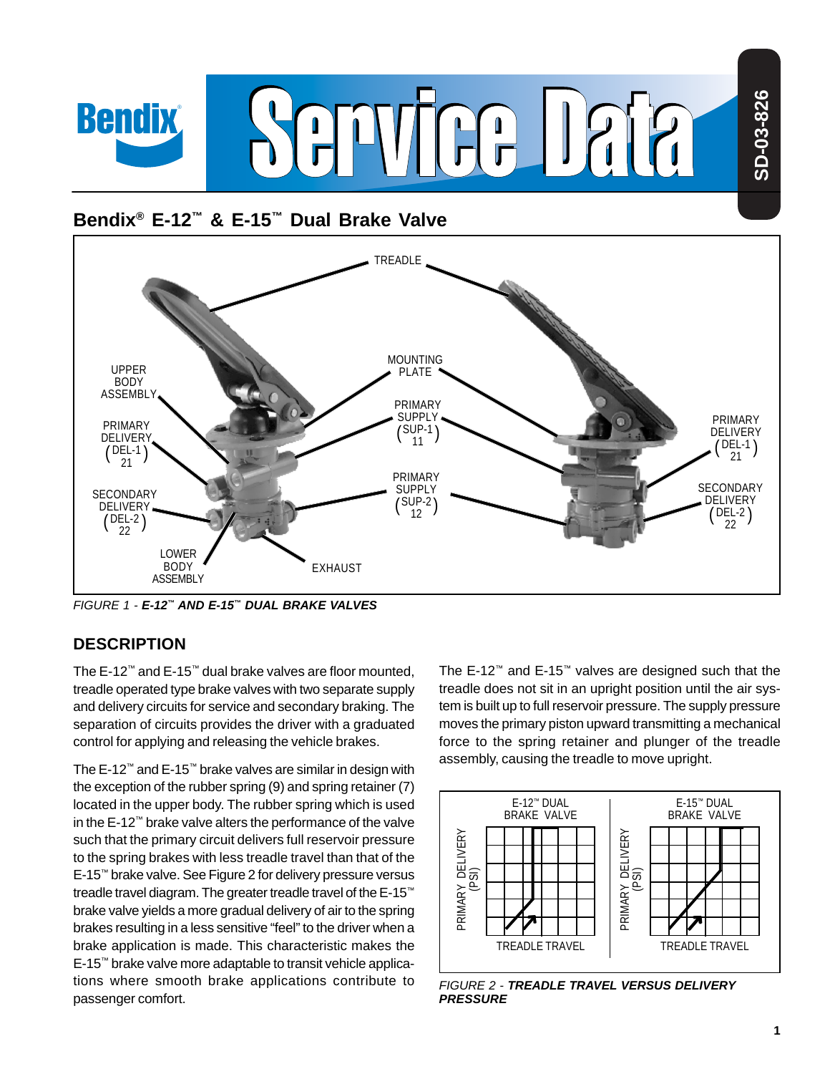

# **Bendix® E-12™ & E-15™ Dual Brake Valve**



FIGURE 1 - **E-12™ AND E-15™ DUAL BRAKE VALVES**

# **DESCRIPTION**

The E-12™ and E-15™ dual brake valves are floor mounted, treadle operated type brake valves with two separate supply and delivery circuits for service and secondary braking. The separation of circuits provides the driver with a graduated control for applying and releasing the vehicle brakes.

The E-12™ and E-15™ brake valves are similar in design with the exception of the rubber spring (9) and spring retainer (7) located in the upper body. The rubber spring which is used in the E-12™ brake valve alters the performance of the valve such that the primary circuit delivers full reservoir pressure to the spring brakes with less treadle travel than that of the E-15™ brake valve. See Figure 2 for delivery pressure versus treadle travel diagram. The greater treadle travel of the E-15™ brake valve yields a more gradual delivery of air to the spring brakes resulting in a less sensitive "feel" to the driver when a brake application is made. This characteristic makes the E-15™ brake valve more adaptable to transit vehicle applications where smooth brake applications contribute to passenger comfort.

The E-12™ and E-15™ valves are designed such that the treadle does not sit in an upright position until the air system is built up to full reservoir pressure. The supply pressure moves the primary piston upward transmitting a mechanical force to the spring retainer and plunger of the treadle assembly, causing the treadle to move upright.



FIGURE 2 - **TREADLE TRAVEL VERSUS DELIVERY PRESSURE**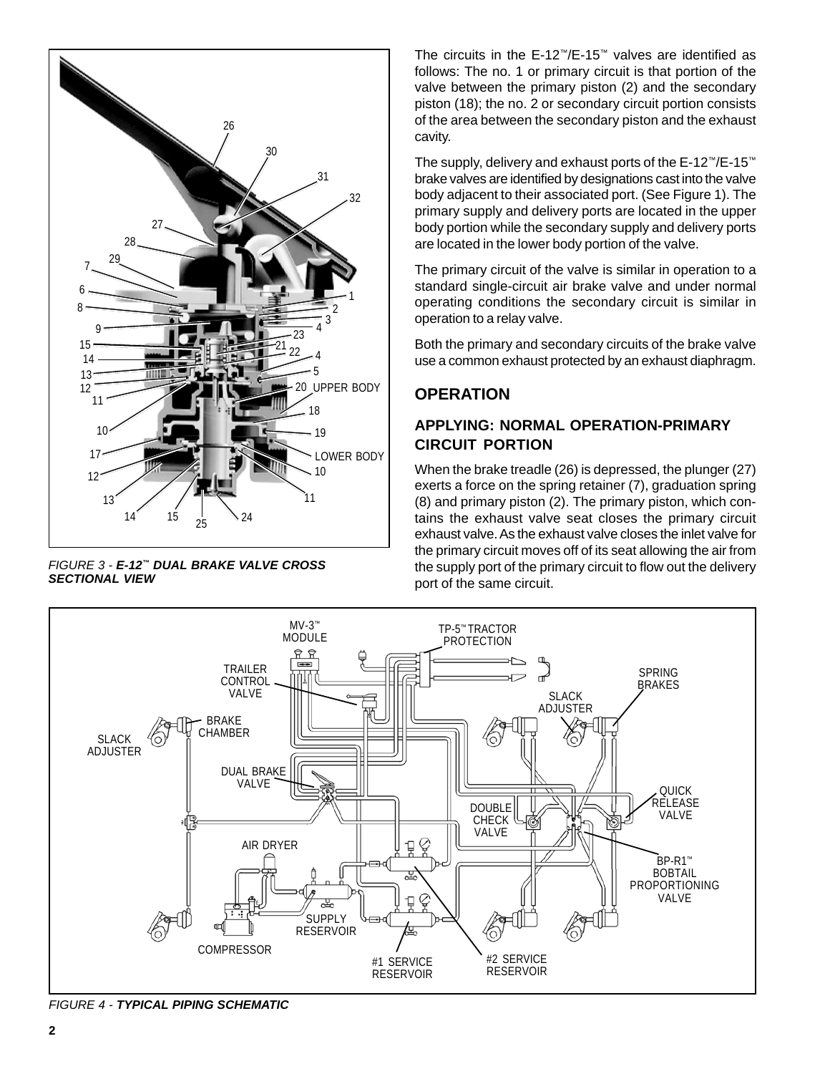

FIGURE 3 - **E-12™ DUAL BRAKE VALVE CROSS SECTIONAL VIEW**

The circuits in the E-12™/E-15™ valves are identified as follows: The no. 1 or primary circuit is that portion of the valve between the primary piston (2) and the secondary piston (18); the no. 2 or secondary circuit portion consists of the area between the secondary piston and the exhaust cavity.

The supply, delivery and exhaust ports of the E-12™/E-15™ brake valves are identified by designations cast into the valve body adjacent to their associated port. (See Figure 1). The primary supply and delivery ports are located in the upper body portion while the secondary supply and delivery ports are located in the lower body portion of the valve.

The primary circuit of the valve is similar in operation to a standard single-circuit air brake valve and under normal operating conditions the secondary circuit is similar in operation to a relay valve.

Both the primary and secondary circuits of the brake valve use a common exhaust protected by an exhaust diaphragm.

# **OPERATION**

# **APPLYING: NORMAL OPERATION-PRIMARY CIRCUIT PORTION**

When the brake treadle (26) is depressed, the plunger (27) exerts a force on the spring retainer (7), graduation spring (8) and primary piston (2). The primary piston, which contains the exhaust valve seat closes the primary circuit exhaust valve. As the exhaust valve closes the inlet valve for the primary circuit moves off of its seat allowing the air from the supply port of the primary circuit to flow out the delivery port of the same circuit.



FIGURE 4 - **TYPICAL PIPING SCHEMATIC**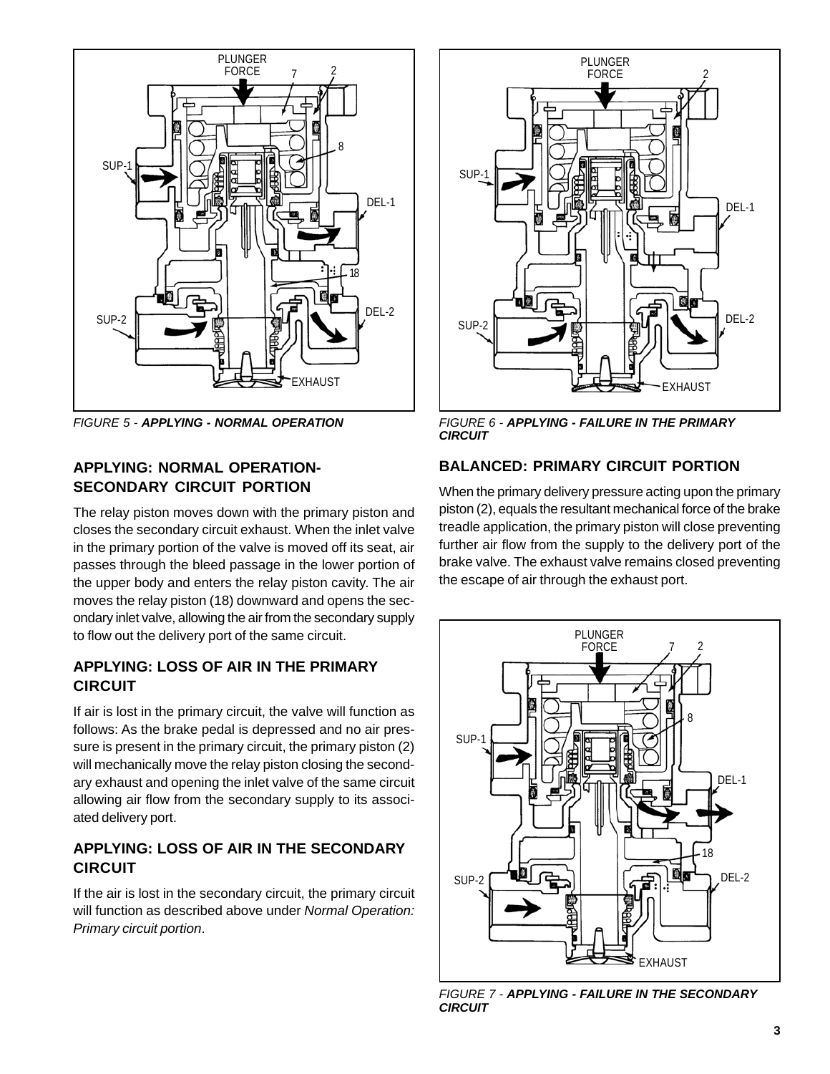

### **APPLYING: NORMAL OPERATION-SECONDARY CIRCUIT PORTION**

The relay piston moves down with the primary piston and closes the secondary circuit exhaust. When the inlet valve in the primary portion of the valve is moved off its seat, air passes through the bleed passage in the lower portion of the upper body and enters the relay piston cavity. The air moves the relay piston (18) downward and opens the secondary inlet valve, allowing the air from the secondary supply to flow out the delivery port of the same circuit.

# **APPLYING: LOSS OF AIR IN THE PRIMARY CIRCUIT**

If air is lost in the primary circuit, the valve will function as follows: As the brake pedal is depressed and no air pressure is present in the primary circuit, the primary piston (2) will mechanically move the relay piston closing the secondary exhaust and opening the inlet valve of the same circuit allowing air flow from the secondary supply to its associated delivery port.

### **APPLYING: LOSS OF AIR IN THE SECONDARY CIRCUIT**

If the air is lost in the secondary circuit, the primary circuit will function as described above under Normal Operation: Primary circuit portion.



FIGURE 5 - **APPLYING - NORMAL OPERATION** FIGURE 6 - **APPLYING - FAILURE IN THE PRIMARY CIRCUIT**

### **BALANCED: PRIMARY CIRCUIT PORTION**

When the primary delivery pressure acting upon the primary piston (2), equals the resultant mechanical force of the brake treadle application, the primary piston will close preventing further air flow from the supply to the delivery port of the brake valve. The exhaust valve remains closed preventing the escape of air through the exhaust port.



FIGURE 7 - **APPLYING - FAILURE IN THE SECONDARY CIRCUIT**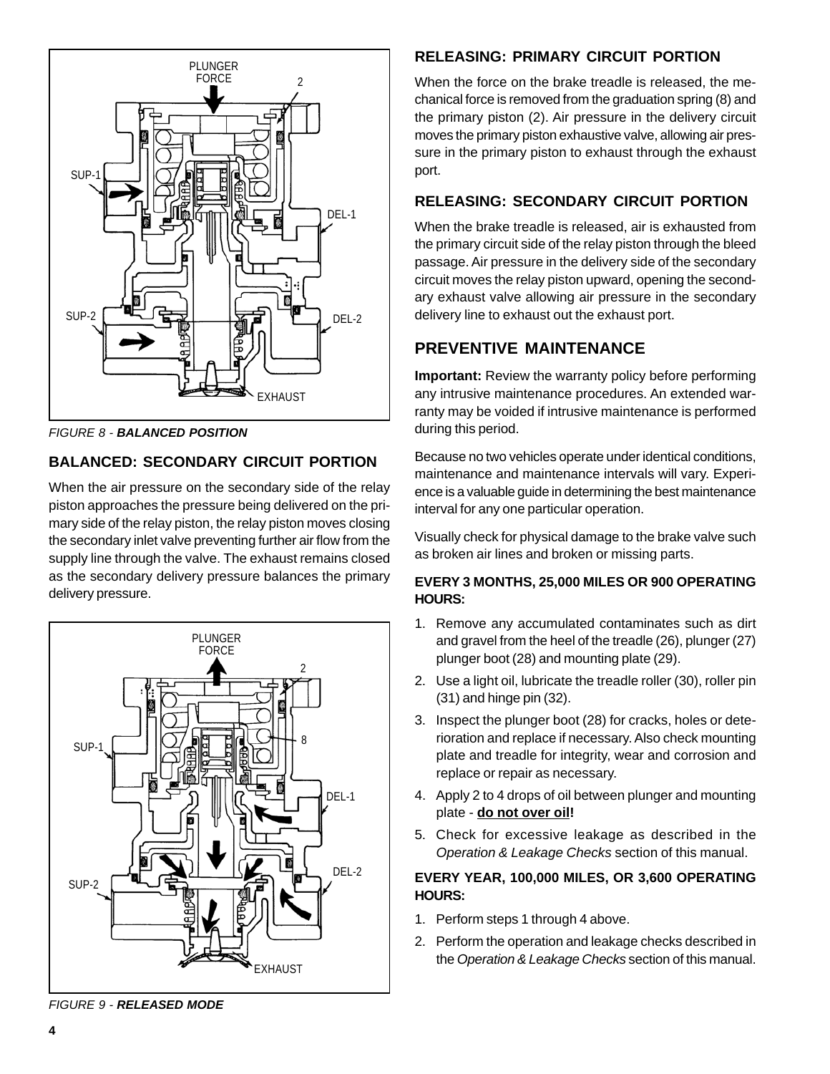

FIGURE 8 - **BALANCED POSITION**

# **BALANCED: SECONDARY CIRCUIT PORTION**

When the air pressure on the secondary side of the relay piston approaches the pressure being delivered on the primary side of the relay piston, the relay piston moves closing the secondary inlet valve preventing further air flow from the supply line through the valve. The exhaust remains closed as the secondary delivery pressure balances the primary delivery pressure.



**RELEASING: PRIMARY CIRCUIT PORTION**

When the force on the brake treadle is released, the mechanical force is removed from the graduation spring (8) and the primary piston (2). Air pressure in the delivery circuit moves the primary piston exhaustive valve, allowing air pressure in the primary piston to exhaust through the exhaust port.

# **RELEASING: SECONDARY CIRCUIT PORTION**

When the brake treadle is released, air is exhausted from the primary circuit side of the relay piston through the bleed passage. Air pressure in the delivery side of the secondary circuit moves the relay piston upward, opening the secondary exhaust valve allowing air pressure in the secondary delivery line to exhaust out the exhaust port.

# **PREVENTIVE MAINTENANCE**

**Important:** Review the warranty policy before performing any intrusive maintenance procedures. An extended warranty may be voided if intrusive maintenance is performed during this period.

Because no two vehicles operate under identical conditions, maintenance and maintenance intervals will vary. Experience is a valuable guide in determining the best maintenance interval for any one particular operation.

Visually check for physical damage to the brake valve such as broken air lines and broken or missing parts.

#### **EVERY 3 MONTHS, 25,000 MILES OR 900 OPERATING HOURS:**

- 1. Remove any accumulated contaminates such as dirt and gravel from the heel of the treadle (26), plunger (27) plunger boot (28) and mounting plate (29).
- 2. Use a light oil, lubricate the treadle roller (30), roller pin (31) and hinge pin (32).
- 3. Inspect the plunger boot (28) for cracks, holes or deterioration and replace if necessary. Also check mounting plate and treadle for integrity, wear and corrosion and replace or repair as necessary.
- 4. Apply 2 to 4 drops of oil between plunger and mounting plate - **do not over oil!**
- 5. Check for excessive leakage as described in the Operation & Leakage Checks section of this manual.

#### **EVERY YEAR, 100,000 MILES, OR 3,600 OPERATING HOURS:**

- 1. Perform steps 1 through 4 above.
- 2. Perform the operation and leakage checks described in the Operation & Leakage Checks section of this manual.

FIGURE 9 - **RELEASED MODE**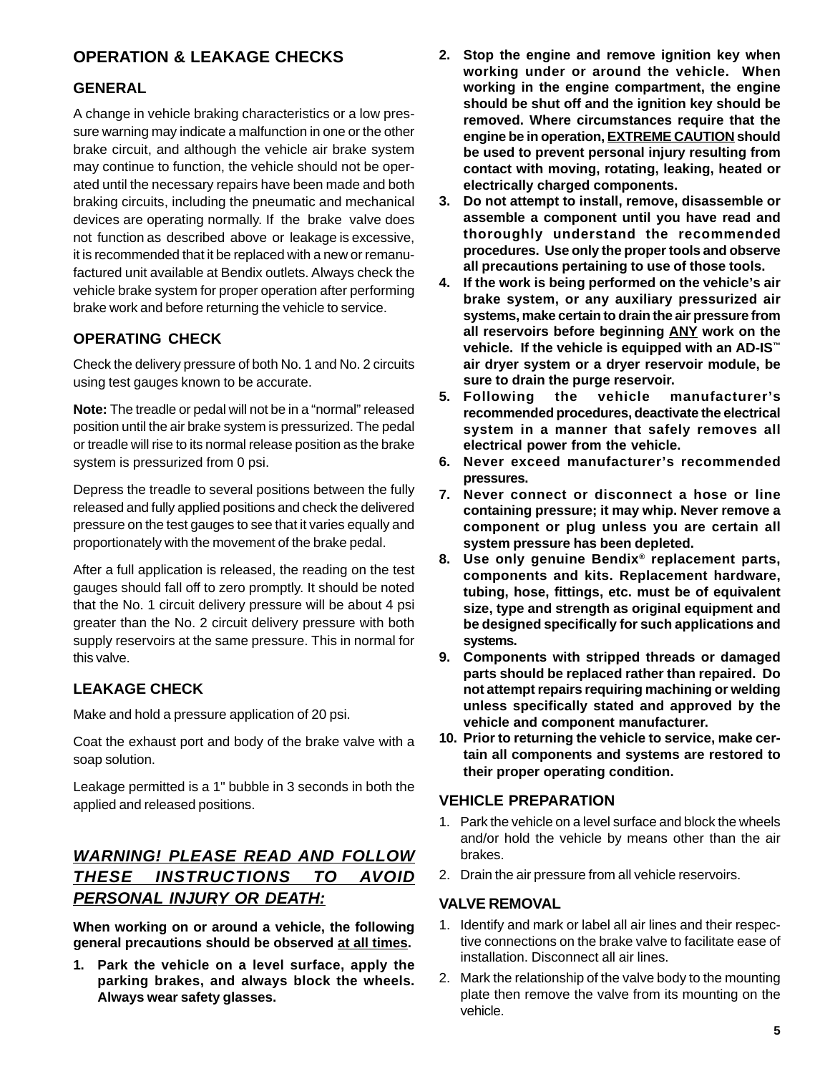# **OPERATION & LEAKAGE CHECKS**

# **GENERAL**

A change in vehicle braking characteristics or a low pressure warning may indicate a malfunction in one or the other brake circuit, and although the vehicle air brake system may continue to function, the vehicle should not be operated until the necessary repairs have been made and both braking circuits, including the pneumatic and mechanical devices are operating normally. If the brake valve does not function as described above or leakage is excessive, it is recommended that it be replaced with a new or remanufactured unit available at Bendix outlets. Always check the vehicle brake system for proper operation after performing brake work and before returning the vehicle to service.

# **OPERATING CHECK**

Check the delivery pressure of both No. 1 and No. 2 circuits using test gauges known to be accurate.

**Note:** The treadle or pedal will not be in a "normal" released position until the air brake system is pressurized. The pedal or treadle will rise to its normal release position as the brake system is pressurized from 0 psi.

Depress the treadle to several positions between the fully released and fully applied positions and check the delivered pressure on the test gauges to see that it varies equally and proportionately with the movement of the brake pedal.

After a full application is released, the reading on the test gauges should fall off to zero promptly. It should be noted that the No. 1 circuit delivery pressure will be about 4 psi greater than the No. 2 circuit delivery pressure with both supply reservoirs at the same pressure. This in normal for this valve.

# **LEAKAGE CHECK**

Make and hold a pressure application of 20 psi.

Coat the exhaust port and body of the brake valve with a soap solution.

Leakage permitted is a 1" bubble in 3 seconds in both the applied and released positions.

# **WARNING! PLEASE READ AND FOLLOW THESE INSTRUCTIONS TO AVOID PERSONAL INJURY OR DEATH:**

**When working on or around a vehicle, the following general precautions should be observed at all times.**

**1. Park the vehicle on a level surface, apply the parking brakes, and always block the wheels. Always wear safety glasses.**

- **2. Stop the engine and remove ignition key when working under or around the vehicle. When working in the engine compartment, the engine should be shut off and the ignition key should be removed. Where circumstances require that the engine be in operation, EXTREME CAUTION should be used to prevent personal injury resulting from contact with moving, rotating, leaking, heated or electrically charged components.**
- **3. Do not attempt to install, remove, disassemble or assemble a component until you have read and thoroughly understand the recommended procedures. Use only the proper tools and observe all precautions pertaining to use of those tools.**
- **4. If the work is being performed on the vehicle's air brake system, or any auxiliary pressurized air systems, make certain to drain the air pressure from all reservoirs before beginning ANY work on the vehicle. If the vehicle is equipped with an AD-IS™ air dryer system or a dryer reservoir module, be sure to drain the purge reservoir.**
- **5. Following the vehicle manufacturer's recommended procedures, deactivate the electrical system in a manner that safely removes all electrical power from the vehicle.**
- **6. Never exceed manufacturer's recommended pressures.**
- **7. Never connect or disconnect a hose or line containing pressure; it may whip. Never remove a component or plug unless you are certain all system pressure has been depleted.**
- **8. Use only genuine Bendix® replacement parts, components and kits. Replacement hardware, tubing, hose, fittings, etc. must be of equivalent size, type and strength as original equipment and be designed specifically for such applications and systems.**
- **9. Components with stripped threads or damaged parts should be replaced rather than repaired. Do not attempt repairs requiring machining or welding unless specifically stated and approved by the vehicle and component manufacturer.**
- **10. Prior to returning the vehicle to service, make certain all components and systems are restored to their proper operating condition.**

#### **VEHICLE PREPARATION**

- 1. Park the vehicle on a level surface and block the wheels and/or hold the vehicle by means other than the air brakes.
- 2. Drain the air pressure from all vehicle reservoirs.

#### **VALVE REMOVAL**

- 1. Identify and mark or label all air lines and their respective connections on the brake valve to facilitate ease of installation. Disconnect all air lines.
- 2. Mark the relationship of the valve body to the mounting plate then remove the valve from its mounting on the vehicle.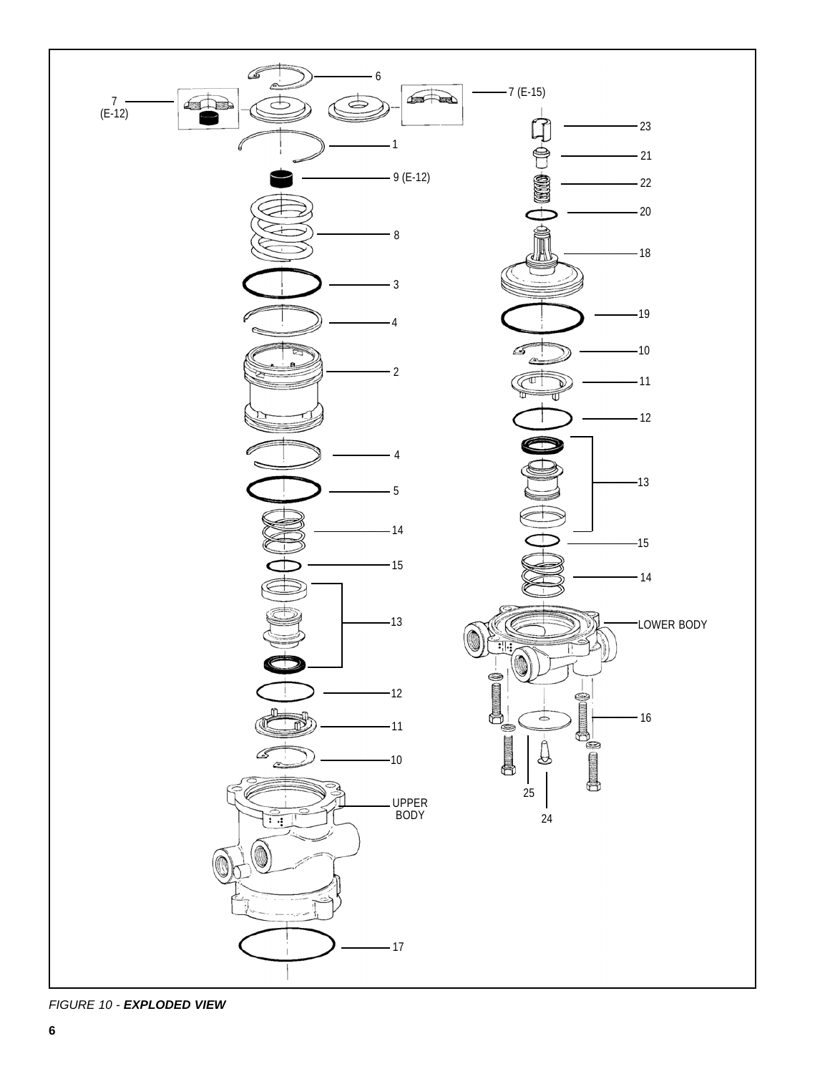

FIGURE 10 - **EXPLODED VIEW**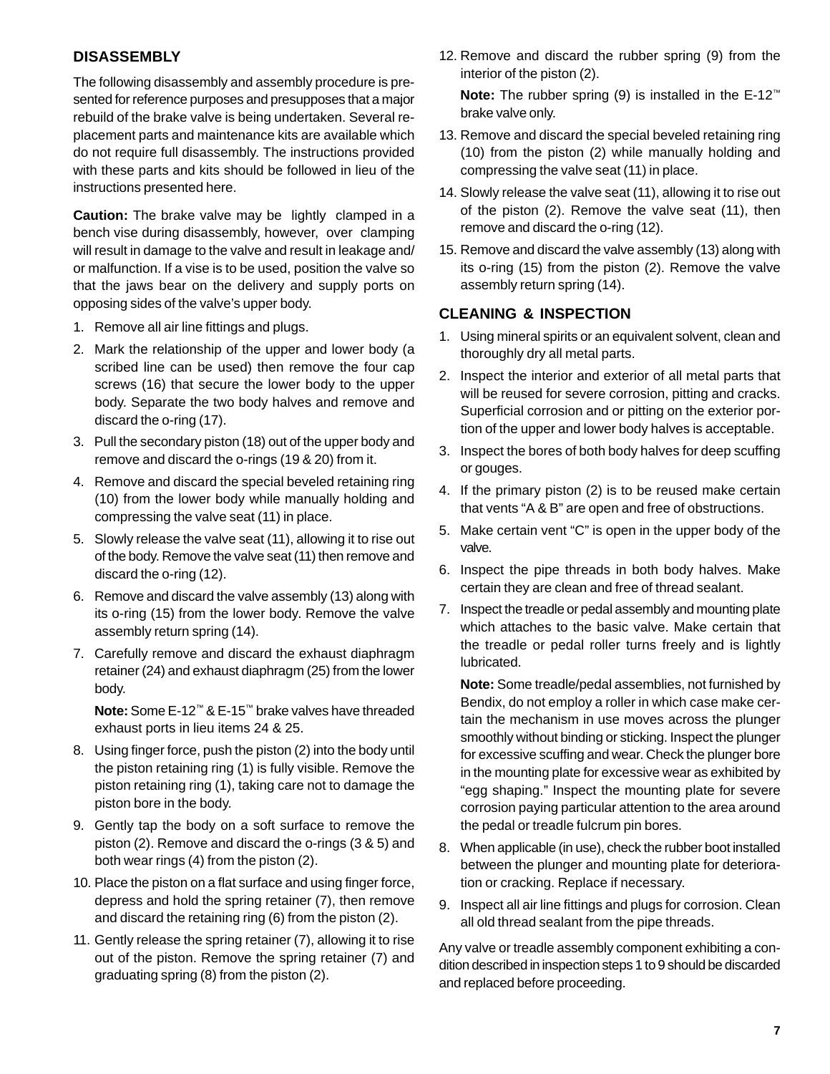### **DISASSEMBLY**

The following disassembly and assembly procedure is presented for reference purposes and presupposes that a major rebuild of the brake valve is being undertaken. Several replacement parts and maintenance kits are available which do not require full disassembly. The instructions provided with these parts and kits should be followed in lieu of the instructions presented here.

**Caution:** The brake valve may be lightly clamped in a bench vise during disassembly, however, over clamping will result in damage to the valve and result in leakage and/ or malfunction. If a vise is to be used, position the valve so that the jaws bear on the delivery and supply ports on opposing sides of the valve's upper body.

- 1. Remove all air line fittings and plugs.
- 2. Mark the relationship of the upper and lower body (a scribed line can be used) then remove the four cap screws (16) that secure the lower body to the upper body. Separate the two body halves and remove and discard the o-ring (17).
- 3. Pull the secondary piston (18) out of the upper body and remove and discard the o-rings (19 & 20) from it.
- 4. Remove and discard the special beveled retaining ring (10) from the lower body while manually holding and compressing the valve seat (11) in place.
- 5. Slowly release the valve seat (11), allowing it to rise out of the body. Remove the valve seat (11) then remove and discard the o-ring (12).
- 6. Remove and discard the valve assembly (13) along with its o-ring (15) from the lower body. Remove the valve assembly return spring (14).
- 7. Carefully remove and discard the exhaust diaphragm retainer (24) and exhaust diaphragm (25) from the lower body.

**Note:** Some E-12™ & E-15™ brake valves have threaded exhaust ports in lieu items 24 & 25.

- 8. Using finger force, push the piston (2) into the body until the piston retaining ring (1) is fully visible. Remove the piston retaining ring (1), taking care not to damage the piston bore in the body.
- 9. Gently tap the body on a soft surface to remove the piston (2). Remove and discard the o-rings (3 & 5) and both wear rings (4) from the piston (2).
- 10. Place the piston on a flat surface and using finger force, depress and hold the spring retainer (7), then remove and discard the retaining ring (6) from the piston (2).
- 11. Gently release the spring retainer (7), allowing it to rise out of the piston. Remove the spring retainer (7) and graduating spring (8) from the piston (2).

12. Remove and discard the rubber spring (9) from the interior of the piston (2).

**Note:** The rubber spring (9) is installed in the E-12™ brake valve only.

- 13. Remove and discard the special beveled retaining ring (10) from the piston (2) while manually holding and compressing the valve seat (11) in place.
- 14. Slowly release the valve seat (11), allowing it to rise out of the piston (2). Remove the valve seat (11), then remove and discard the o-ring (12).
- 15. Remove and discard the valve assembly (13) along with its o-ring (15) from the piston (2). Remove the valve assembly return spring (14).

### **CLEANING & INSPECTION**

- 1. Using mineral spirits or an equivalent solvent, clean and thoroughly dry all metal parts.
- 2. Inspect the interior and exterior of all metal parts that will be reused for severe corrosion, pitting and cracks. Superficial corrosion and or pitting on the exterior portion of the upper and lower body halves is acceptable.
- 3. Inspect the bores of both body halves for deep scuffing or gouges.
- 4. If the primary piston (2) is to be reused make certain that vents "A & B" are open and free of obstructions.
- 5. Make certain vent "C" is open in the upper body of the valve.
- 6. Inspect the pipe threads in both body halves. Make certain they are clean and free of thread sealant.
- 7. Inspect the treadle or pedal assembly and mounting plate which attaches to the basic valve. Make certain that the treadle or pedal roller turns freely and is lightly lubricated.

**Note:** Some treadle/pedal assemblies, not furnished by Bendix, do not employ a roller in which case make certain the mechanism in use moves across the plunger smoothly without binding or sticking. Inspect the plunger for excessive scuffing and wear. Check the plunger bore in the mounting plate for excessive wear as exhibited by "egg shaping." Inspect the mounting plate for severe corrosion paying particular attention to the area around the pedal or treadle fulcrum pin bores.

- 8. When applicable (in use), check the rubber boot installed between the plunger and mounting plate for deterioration or cracking. Replace if necessary.
- 9. Inspect all air line fittings and plugs for corrosion. Clean all old thread sealant from the pipe threads.

Any valve or treadle assembly component exhibiting a condition described in inspection steps 1 to 9 should be discarded and replaced before proceeding.